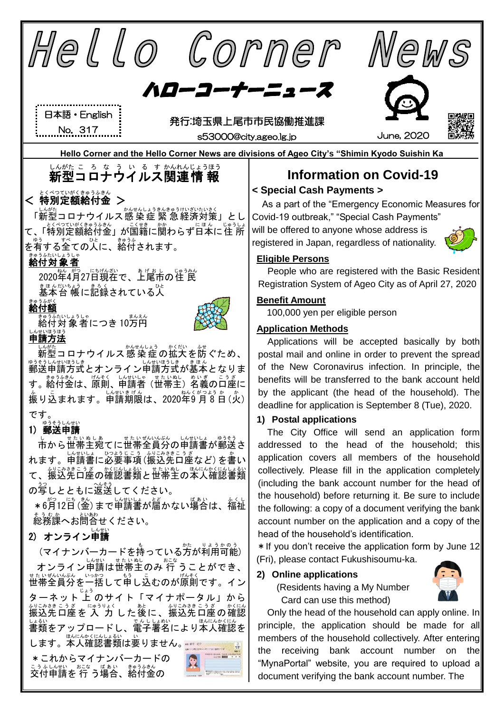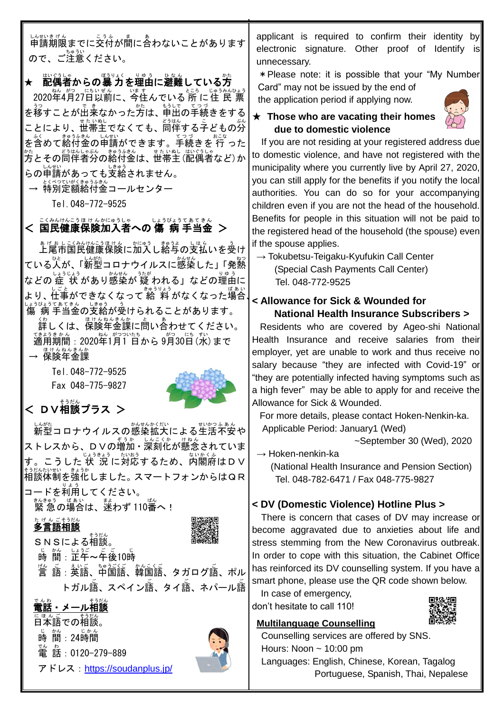し<sub>はいまげん</sub><br>申請期限までに交付が間に合わないことがあります ので、ご注意ください。

★ 配偶者からの暴力を運由に避難している芳 2020年4月27日以前に、今住んでいる 所 に住 民 票 を移すことが出来なかった方は、申出の手続きをする ことにより、世帯主でなくても、『『<sup>はん</sup>する子どもの分 を含 ふく めて給付 きゅうふ 金 きん の申請 しんせい ができます。手続 てつづ きを 行 おこな った <sub>\*\*\*</sub><br>方とその同伴者分の給付金は、世帯主 (配偶者など)か らの申請があっても支給されません。

→ 特別定額給付金コールセンター

Tel.048-772-9525

< 国民健康保険加入者への 傷 病 手当金 >

 上尾市 あげおし 国民 こくみん 健康 けんこう 保険 ほけん に加入 かにゅう し給与 きゅうよ の支払 しはら いを受 う け ている人が、「<sup>しんがた</sup>コロナウイルスに感染した」「発熱 などの 症 状 があり感染が 疑 われる」などの理由に ょり、 仕事ができなくなって 給 料 がなくなった場合 しょうびょうてきていまう。<br>傷 病 手当金の支給が受けられることがあります。 <u>、。</u><br>詳しくは、保険年金課に問い合わせてください。 <sup>てま♪言ゕ</sup>"。<br>適用期間:2020年1月1 日から 9月30日 (水) まで — <sup>ほけんねんきんか</sup><br>→ 保険年金課

> Tel.048-772-9525 Fax 048-775-9827



# < DV相談プラス >

しんがたねんの感染拡大による生活不安や ストレスから、DVの増加・深刻化が懸念されていま す。こうした 状 説に対応するため、内閣府はDV <sub>もなない戦</sub>、。<br>相談体制を強化しました。 スマートフォンからはQR **コードを利用してください。** 

緊 急 きんきゅう の場合 ばあい は、迷 まよ わず 110番 ばん へ!

## たげんごそうだん<br>**多言語相談**

s N Sによる相談。

<sub>」。</sub><br>時 間 : 芷午~午後10時

" $\stackrel{\omega}{\equiv}}$  語 : 英語、中国語、韓国語、タガログ語、ポル トガル語、スペイン語、タイ語、ネパール語

電話 でんわ ・メール相談 そうだん

<sub>にほんご</sub> そうだん<br>**日本語での相談。** <sub>じ かん</sub><br>時 間 : 24時間 。<br>電 話:0120-279-889 アドレス: <https://soudanplus.jp/>



applicant is required to confirm their identity by electronic signature. Other proof of Identify is unnecessary.

\*Please note: it is possible that your "My Number Card" may not be issued by the end of

the application period if applying now.



#### ★ **Those who are vacating their homes due to domestic violence**

If you are not residing at your registered address due to domestic violence, and have not registered with the municipality where you currently live by April 27, 2020, you can still apply for the benefits if you notify the local authorities. You can do so for your accompanying children even if you are not the head of the household. Benefits for people in this situation will not be paid to the registered head of the household (the spouse) even if the spouse applies.

 $\rightarrow$  Tokubetsu-Teigaku-Kyufukin Call Center (Special Cash Payments Call Center) Tel. 048-772-9525

### 、 **< Allowance for Sick & Wounded for National Health Insurance Subscribers >**

 Residents who are covered by Ageo-shi National Health Insurance and receive salaries from their employer, yet are unable to work and thus receive no salary because "they are infected with Covid-19" or "they are potentially infected having symptoms such as a high fever" may be able to apply for and receive the Allowance for Sick & Wounded.

For more details, please contact Hoken-Nenkin-ka. Applicable Period: January1 (Wed)

~September 30 (Wed), 2020

 $\rightarrow$  Hoken-nenkin-ka

(National Health Insurance and Pension Section) Tel. 048-782-6471 / Fax 048-775-9827

#### **< DV (Domestic Violence) Hotline Plus >**

 There is concern that cases of DV may increase or become aggravated due to anxieties about life and stress stemming from the New Coronavirus outbreak. In order to cope with this situation, the Cabinet Office has reinforced its DV counselling system. If you have a smart phone, please use the QR code shown below.

In case of emergency, don't hesitate to call 110!



#### **Multilanguage Counselling**

 Counselling services are offered by SNS. Hours: Noon  $\sim$  10:00 pm Languages: English, Chinese, Korean, Tagalog Portuguese, Spanish, Thai, Nepalese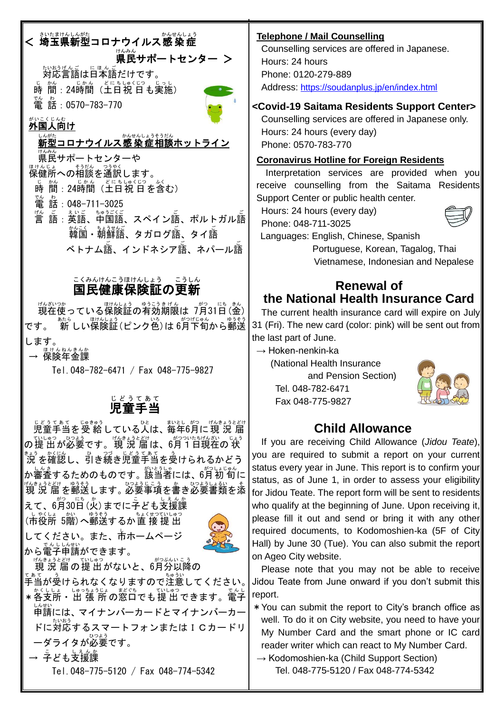# < 説なまかんがた<br>< 埼玉県新型コロナウイルス感染症 。<br>県民サポートセンター > <sub>たいおうげんご</sub> <sub>にほんご</sub><br>対応言語は日本語だけです。

じ。<br>時 間:24時間(土日祝 日も実施) 。<br>電 話:0570−783−770



i.

# <sub>がいこくじんむ</sub><br>**外国人向け**

しんがた<br>**新型コロナウイルス感 染 症相談ホットライン** 

<sub>ゖんみん</sub><br>県民サポートセンターや

<sub>ほけんじょ</sub><br>保健所への相談を通訳します。

<sub>じ。。。</sub><br>時 間 : 24時間(土日祝 日を含む)

- 。<br>電 話:048-711-3025
- <sub>"」。。。</sub><br>言 語 : 英語、中国語、スペイン語、ポルトガル語 韓国 かんこく ・朝鮮語 ちょうせんご 、タガログ語 ご 、タイ語 ご ベトナム語、インドネシア語、ネパール語

# <u>こくみんけんこうほけんしょう。こうしん</u><br>国民健康保険証の更新

<sub>げんかつか</sub><br>現在使っている保険証の有効期限は 7月31日(金) です。 <sup>「続き」</sup>は『<sub>のポピック</sub>』 。<br>です。 新 しい保険証(ピンク色)は 6月下旬から郵送 します。

— <sup>ほけんねんきんか</sup><br>→ 保険年金課

Tel.048-782-6471 / Fax 048-775-9827

#### 児童 手当 じどう てあて

じどうてあて、 じゅきゅう<br>児童手当を受 給 している人は、毎年6月に 現 況 届 の提 出 ていしゅつ が必要 ひつよう です。現 況 届 げんきょうとどけ は、6月 がつ 1日 ついたち 現在 げんざい の 状 じょう <sub>きょう かくに。</sub><br>況 を確認し、引き続き児童手当を受けられるかどう か審査 しんさ するためのものです。該当者 がいとうしゃ には、6月 がつ 初 旬 しょじゅん に 現 況 届 げんきょうとどけ を郵送 ゆうそう します。必要 ひつよう 事項 じこう を書 か き必要 ひつよう 書類 しょるい を添 そ

えて、6月30日 (火) までに子ども支援課 (市役所 5階)へ郵送するか直 接 提 出 してください。また、市 し ホームページ

。<br>から電子申請ができます。



<sub>げんきょうとどけ</sub> <sub>ていしゅつ</sub><br>「現 況 届 の 提 出 がないと、6月分以降の

- <sub>てぁて</sub><br>手当が受けられなくなりますので注意してください。│ ★各支所・出 張 所の窓口でも提 出できます。電子 申請 しんせい には、マイナンバーカードとマイナンバーカー ドに対応するスマートフォンまたは I Cカードリ ーダライタが必要です。 → <sup>こ</sup>ども支援課
	- Tel.048-775-5120 / Fax 048-774-5342

#### **Telephone / Mail Counselling**

Counselling services are offered in Japanese. Hours: 24 hours Phone: 0120-279-889 Address: <https://soudanplus.jp/en/index.html>

#### **<Covid-19 Saitama Residents Support Center>**

Counselling services are offered in Japanese only. Hours: 24 hours (every day) Phone: 0570-783-770

#### **Coronavirus Hotline for Foreign Residents**

Interpretation services are provided when you receive counselling from the Saitama Residents Support Center or public health center.

Hours: 24 hours (every day)



Languages: English, Chinese, Spanish

Portuguese, Korean, Tagalog, Thai Vietnamese, Indonesian and Nepalese

### **Renewal of the National Health Insurance Card**

The current health insurance card will expire on July 31 (Fri). The new card (color: pink) will be sent out from the last part of June.

 $\rightarrow$  Hoken-nenkin-ka

(National Health Insurance and Pension Section) Tel. 048-782-6471 Fax 048-775-9827



# **Child Allowance**

If you are receiving Child Allowance (*Jidou Teate*), you are required to submit a report on your current status every year in June. This report is to confirm your status, as of June 1, in order to assess your eligibility for Jidou Teate. The report form will be sent to residents who qualify at the beginning of June. Upon receiving it, please fill it out and send or bring it with any other required documents, to Kodomoshien-ka (5F of City Hall) by June 30 (Tue). You can also submit the report on Ageo City website.

Please note that you may not be able to receive Jidou Teate from June onward if you don't submit this report.

\*You can submit the report to City's branch office as well. To do it on City website, you need to have your My Number Card and the smart phone or IC card reader writer which can react to My Number Card.

 $\rightarrow$  Kodomoshien-ka (Child Support Section) Tel. 048-775-5120 / Fax 048-774-5342